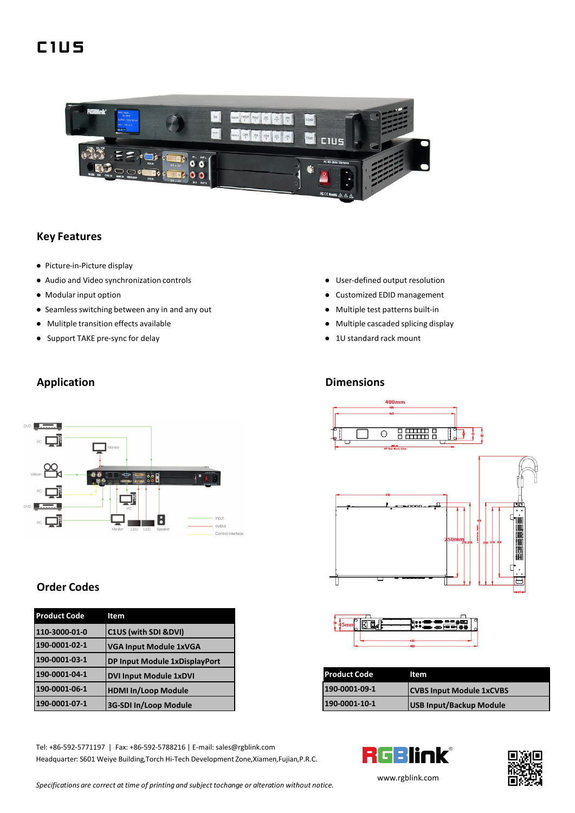# **C 1 U S**



#### **Key Features**

- Picture-in-Picture display
- Audio and Video synchronization controls **because the controls** User-defined output resolution
- 
- Seamless switching between any in and any out <br>● Multiple test patterns built-in
- Mulitple transition effects available <br>● Multiple cascaded splicing display
- Support TAKE pre-sync for delay and a set of the standard rack mount and set of the standard rack mount
- 
- Modular input option <br>● Modular input option by the customized EDID management
	-
	-
	-

#### **Application Dimensions**



### **Order Codes**

| <b>Product Code</b> | Item                          |
|---------------------|-------------------------------|
| 110-3000-01-0       | C1US (with SDI &DVI)          |
| 190-0001-02-1       | <b>VGA Input Module 1xVGA</b> |
| 190-0001-03-1       | DP Input Module 1xDisplayPort |
| 190-0001-04-1       | <b>DVI Input Module 1xDVI</b> |
| 190-0001-06-1       | <b>HDMI In/Loop Module</b>    |
| 190-0001-07-1       | 3G-SDI In/Loop Module         |

Tel: +86-592-5771197 | Fax: +86-592-5788216 | E-mail: sales@rgblink.com<br>Headquarter: S601 Weive Building.Torch Hi-Tech Development Zone.Xiamen.Fulian.P.R.C. Headquarter: S601 Weiye Building,Torch Hi-Tech Development Zone,Xiamen,Fujian,P.R.C.



| 190-0001-04-1 | <b>IDVI Input Module 1xDVI</b> | <b>Product Code</b> | Item                             |  |
|---------------|--------------------------------|---------------------|----------------------------------|--|
| 190-0001-06-1 | <b>IHDMI In/Loop Module</b>    | 190-0001-09-1       | <b>ICVBS Input Module 1xCVBS</b> |  |
| 190-0001-07-1 | <b>13G-SDI In/Loop Module</b>  | 190-0001-10-1       | <b>USB Input/Backup Module</b>   |  |





*Specifications are correct at time of printing and subject tochange or alteration without notice.*

[www.rgb](http://www.rgblink.com)link.com